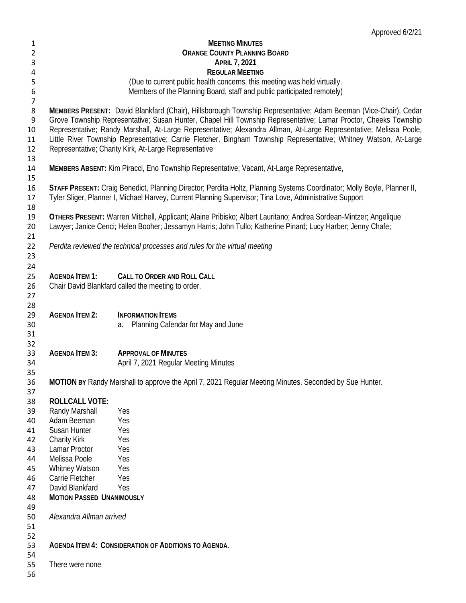|                  |                                                      | Approved 6/2/21                                                                                                         |
|------------------|------------------------------------------------------|-------------------------------------------------------------------------------------------------------------------------|
| 1                |                                                      | <b>MEETING MINUTES</b>                                                                                                  |
| 2                |                                                      | <b>ORANGE COUNTY PLANNING BOARD</b>                                                                                     |
| 3                |                                                      | <b>APRIL 7, 2021</b>                                                                                                    |
| 4                |                                                      | <b>REGULAR MEETING</b>                                                                                                  |
| 5                |                                                      | (Due to current public health concerns, this meeting was held virtually.                                                |
| $\boldsymbol{6}$ |                                                      | Members of the Planning Board, staff and public participated remotely)                                                  |
| $\overline{7}$   |                                                      |                                                                                                                         |
| 8                |                                                      | MEMBERS PRESENT: David Blankfard (Chair), Hillsborough Township Representative; Adam Beeman (Vice-Chair), Cedar         |
| 9                |                                                      | Grove Township Representative; Susan Hunter, Chapel Hill Township Representative; Lamar Proctor, Cheeks Township        |
| 10               |                                                      | Representative; Randy Marshall, At-Large Representative; Alexandra Allman, At-Large Representative; Melissa Poole,      |
| 11               |                                                      | Little River Township Representative; Carrie Fletcher, Bingham Township Representative; Whitney Watson, At-Large        |
| 12               |                                                      | Representative; Charity Kirk, At-Large Representative                                                                   |
| 13               |                                                      |                                                                                                                         |
| 14               |                                                      | MEMBERS ABSENT: Kim Piracci, Eno Township Representative; Vacant, At-Large Representative,                              |
| 15               |                                                      |                                                                                                                         |
| 16               |                                                      | STAFF PRESENT: Craig Benedict, Planning Director; Perdita Holtz, Planning Systems Coordinator; Molly Boyle, Planner II, |
| 17               |                                                      | Tyler Sliger, Planner I, Michael Harvey, Current Planning Supervisor; Tina Love, Administrative Support                 |
| 18               |                                                      |                                                                                                                         |
| 19               |                                                      | OTHERS PRESENT: Warren Mitchell, Applicant; Alaine Pribisko; Albert Lauritano; Andrea Sordean-Mintzer; Angelique        |
| 20               |                                                      | Lawyer; Janice Cenci; Helen Booher; Jessamyn Harris; John Tullo; Katherine Pinard; Lucy Harber; Jenny Chafe;            |
| 21               |                                                      |                                                                                                                         |
| 22               |                                                      | Perdita reviewed the technical processes and rules for the virtual meeting                                              |
| 23               |                                                      |                                                                                                                         |
| 24               |                                                      |                                                                                                                         |
| 25               | <b>AGENDA ITEM 1:</b>                                | <b>CALL TO ORDER AND ROLL CALL</b>                                                                                      |
| 26               |                                                      | Chair David Blankfard called the meeting to order.                                                                      |
| 27               |                                                      |                                                                                                                         |
| 28               |                                                      |                                                                                                                         |
| 29               | <b>AGENDA ITEM 2:</b>                                | <b>INFORMATION ITEMS</b>                                                                                                |
| 30               |                                                      | Planning Calendar for May and June<br>a.                                                                                |
| 31               |                                                      |                                                                                                                         |
| 32<br>33         | <b>AGENDA ITEM 3:</b>                                | <b>APPROVAL OF MINUTES</b>                                                                                              |
| 34               |                                                      | April 7, 2021 Regular Meeting Minutes                                                                                   |
| 35               |                                                      |                                                                                                                         |
| 36               |                                                      | MOTION BY Randy Marshall to approve the April 7, 2021 Regular Meeting Minutes. Seconded by Sue Hunter.                  |
| 37               |                                                      |                                                                                                                         |
| 38               | <b>ROLLCALL VOTE:</b>                                |                                                                                                                         |
| 39               | Randy Marshall                                       | Yes                                                                                                                     |
| 40               | Adam Beeman                                          | Yes                                                                                                                     |
| 41               | Susan Hunter                                         | Yes                                                                                                                     |
| 42               | <b>Charity Kirk</b>                                  | Yes                                                                                                                     |
| 43               | Lamar Proctor                                        | Yes                                                                                                                     |
| 44               | Melissa Poole                                        | Yes                                                                                                                     |
| 45               | Whitney Watson                                       | Yes                                                                                                                     |
| 46               | Carrie Fletcher                                      | Yes                                                                                                                     |
| 47               | David Blankfard                                      | Yes                                                                                                                     |
| 48               | <b>MOTION PASSED UNANIMOUSLY</b>                     |                                                                                                                         |
| 49               |                                                      |                                                                                                                         |
| 50               | Alexandra Allman arrived                             |                                                                                                                         |
| 51               |                                                      |                                                                                                                         |
| 52               |                                                      |                                                                                                                         |
| 53               | AGENDA ITEM 4: CONSIDERATION OF ADDITIONS TO AGENDA. |                                                                                                                         |
| 54               |                                                      |                                                                                                                         |
| 55               | There were none                                      |                                                                                                                         |
| 56               |                                                      |                                                                                                                         |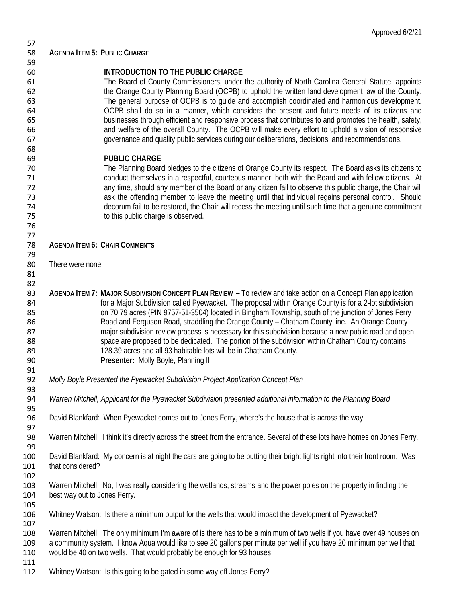| 57  |                                                                                                                               |
|-----|-------------------------------------------------------------------------------------------------------------------------------|
| 58  | <b>AGENDA ITEM 5: PUBLIC CHARGE</b>                                                                                           |
| 59  |                                                                                                                               |
| 60  | INTRODUCTION TO THE PUBLIC CHARGE                                                                                             |
| 61  | The Board of County Commissioners, under the authority of North Carolina General Statute, appoints                            |
| 62  | the Orange County Planning Board (OCPB) to uphold the written land development law of the County.                             |
| 63  | The general purpose of OCPB is to guide and accomplish coordinated and harmonious development.                                |
| 64  | OCPB shall do so in a manner, which considers the present and future needs of its citizens and                                |
| 65  | businesses through efficient and responsive process that contributes to and promotes the health, safety,                      |
|     | and welfare of the overall County. The OCPB will make every effort to uphold a vision of responsive                           |
| 66  |                                                                                                                               |
| 67  | governance and quality public services during our deliberations, decisions, and recommendations.                              |
| 68  |                                                                                                                               |
| 69  | <b>PUBLIC CHARGE</b>                                                                                                          |
| 70  | The Planning Board pledges to the citizens of Orange County its respect. The Board asks its citizens to                       |
| 71  | conduct themselves in a respectful, courteous manner, both with the Board and with fellow citizens. At                        |
| 72  | any time, should any member of the Board or any citizen fail to observe this public charge, the Chair will                    |
| 73  | ask the offending member to leave the meeting until that individual regains personal control. Should                          |
| 74  | decorum fail to be restored, the Chair will recess the meeting until such time that a genuine commitment                      |
| 75  | to this public charge is observed.                                                                                            |
| 76  |                                                                                                                               |
| 77  |                                                                                                                               |
| 78  | <b>AGENDA ITEM 6: CHAIR COMMENTS</b>                                                                                          |
| 79  |                                                                                                                               |
| 80  | There were none                                                                                                               |
|     |                                                                                                                               |
| 81  |                                                                                                                               |
| 82  |                                                                                                                               |
| 83  | AGENDA ITEM 7: MAJOR SUBDIVISION CONCEPT PLAN REVIEW - To review and take action on a Concept Plan application                |
| 84  | for a Major Subdivision called Pyewacket. The proposal within Orange County is for a 2-lot subdivision                        |
| 85  | on 70.79 acres (PIN 9757-51-3504) located in Bingham Township, south of the junction of Jones Ferry                           |
| 86  | Road and Ferguson Road, straddling the Orange County - Chatham County line. An Orange County                                  |
| 87  | major subdivision review process is necessary for this subdivision because a new public road and open                         |
| 88  | space are proposed to be dedicated. The portion of the subdivision within Chatham County contains                             |
| 89  | 128.39 acres and all 93 habitable lots will be in Chatham County.                                                             |
| 90  | Presenter: Molly Boyle, Planning II                                                                                           |
| 91  |                                                                                                                               |
| 92  | Molly Boyle Presented the Pyewacket Subdivision Project Application Concept Plan                                              |
| 93  |                                                                                                                               |
| 94  | Warren Mitchell, Applicant for the Pyewacket Subdivision presented additional information to the Planning Board               |
| 95  |                                                                                                                               |
| 96  | David Blankfard: When Pyewacket comes out to Jones Ferry, where's the house that is across the way.                           |
| 97  |                                                                                                                               |
| 98  | Warren Mitchell: I think it's directly across the street from the entrance. Several of these lots have homes on Jones Ferry.  |
|     |                                                                                                                               |
| 99  |                                                                                                                               |
| 100 | David Blankfard: My concern is at night the cars are going to be putting their bright lights right into their front room. Was |
| 101 | that considered?                                                                                                              |
| 102 |                                                                                                                               |
| 103 | Warren Mitchell: No, I was really considering the wetlands, streams and the power poles on the property in finding the        |
| 104 | best way out to Jones Ferry.                                                                                                  |
| 105 |                                                                                                                               |
| 106 | Whitney Watson: Is there a minimum output for the wells that would impact the development of Pyewacket?                       |
| 107 |                                                                                                                               |
| 108 | Warren Mitchell: The only minimum I'm aware of is there has to be a minimum of two wells if you have over 49 houses on        |
| 109 | a community system. I know Aqua would like to see 20 gallons per minute per well if you have 20 minimum per well that         |
| 110 | would be 40 on two wells. That would probably be enough for 93 houses.                                                        |
| 111 |                                                                                                                               |
| 112 | Whitney Watson: Is this going to be gated in some way off Jones Ferry?                                                        |
|     |                                                                                                                               |

Approved 6/2/21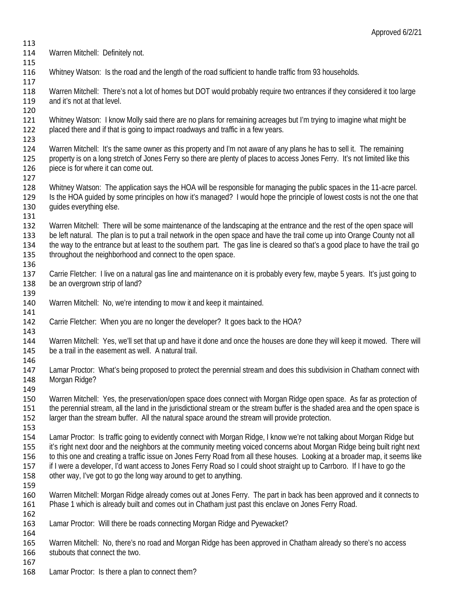- Warren Mitchell: Definitely not.
- Whitney Watson: Is the road and the length of the road sufficient to handle traffic from 93 households.
- 

 Warren Mitchell: There's not a lot of homes but DOT would probably require two entrances if they considered it too large 119 and it's not at that level.

120<br>121 Whitney Watson: I know Molly said there are no plans for remaining acreages but I'm trying to imagine what might be placed there and if that is going to impact roadways and traffic in a few years.

 Warren Mitchell: It's the same owner as this property and I'm not aware of any plans he has to sell it. The remaining 125 property is on a long stretch of Jones Ferry so there are plenty of places to access Jones Ferry. It's not limited like this 126 piece is for where it can come out. piece is for where it can come out.

 Whitney Watson: The application says the HOA will be responsible for managing the public spaces in the 11-acre parcel. Is the HOA guided by some principles on how it's managed? I would hope the principle of lowest costs is not the one that 130 guides everything else.

- 131<br>132 Warren Mitchell: There will be some maintenance of the landscaping at the entrance and the rest of the open space will be left natural. The plan is to put a trail network in the open space and have the trail come up into Orange County not all the way to the entrance but at least to the southern part. The gas line is cleared so that's a good place to have the trail go 135 throughout the neighborhood and connect to the open space.
- Carrie Fletcher: I live on a natural gas line and maintenance on it is probably every few, maybe 5 years. It's just going to 138 be an overgrown strip of land?
- Warren Mitchell: No, we're intending to mow it and keep it maintained.
- Carrie Fletcher: When you are no longer the developer? It goes back to the HOA?

143<br>144 Warren Mitchell: Yes, we'll set that up and have it done and once the houses are done they will keep it mowed. There will be a trail in the easement as well. A natural trail.

- Lamar Proctor: What's being proposed to protect the perennial stream and does this subdivision in Chatham connect with Morgan Ridge?
- Warren Mitchell: Yes, the preservation/open space does connect with Morgan Ridge open space. As far as protection of the perennial stream, all the land in the jurisdictional stream or the stream buffer is the shaded area and the open space is larger than the stream buffer. All the natural space around the stream will provide protection.
- Lamar Proctor: Is traffic going to evidently connect with Morgan Ridge, I know we're not talking about Morgan Ridge but it's right next door and the neighbors at the community meeting voiced concerns about Morgan Ridge being built right next to this one and creating a traffic issue on Jones Ferry Road from all these houses. Looking at a broader map, it seems like if I were a developer, I'd want access to Jones Ferry Road so I could shoot straight up to Carrboro. If I have to go the
- other way, I've got to go the long way around to get to anything.
- Warren Mitchell: Morgan Ridge already comes out at Jones Ferry. The part in back has been approved and it connects to Phase 1 which is already built and comes out in Chatham just past this enclave on Jones Ferry Road.
- Lamar Proctor: Will there be roads connecting Morgan Ridge and Pyewacket?

 Warren Mitchell: No, there's no road and Morgan Ridge has been approved in Chatham already so there's no access stubouts that connect the two. 

Lamar Proctor: Is there a plan to connect them?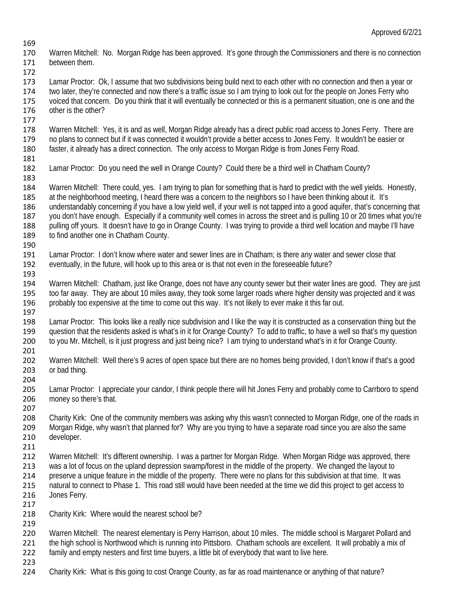- 170 Warren Mitchell: No. Morgan Ridge has been approved. It's gone through the Commissioners and there is no connection 171 between them. between them.
- Lamar Proctor: Ok, I assume that two subdivisions being build next to each other with no connection and then a year or two later, they're connected and now there's a traffic issue so I am trying to look out for the people on Jones Ferry who voiced that concern. Do you think that it will eventually be connected or this is a permanent situation, one is one and the other is the other?
- Warren Mitchell: Yes, it is and as well, Morgan Ridge already has a direct public road access to Jones Ferry. There are no plans to connect but if it was connected it wouldn't provide a better access to Jones Ferry. It wouldn't be easier or faster, it already has a direct connection. The only access to Morgan Ridge is from Jones Ferry Road.
- 181<br>182 Lamar Proctor: Do you need the well in Orange County? Could there be a third well in Chatham County?
- Warren Mitchell: There could, yes. I am trying to plan for something that is hard to predict with the well yields. Honestly, 185 at the neighborhood meeting, I heard there was a concern to the neighbors so I have been thinking about it. It's
- understandably concerning if you have a low yield well, if your well is not tapped into a good aquifer, that's concerning that 187 you don't have enough. Especially if a community well comes in across the street and is pulling 10 or 20 times what you're<br>188 vulling off yours. It doesn't have to go in Orange County. I was trying to provide a third pulling off yours. It doesn't have to go in Orange County. I was trying to provide a third well location and maybe I'll have 189 to find another one in Chatham County.
- Lamar Proctor: I don't know where water and sewer lines are in Chatham; is there any water and sewer close that eventually, in the future, will hook up to this area or is that not even in the foreseeable future?
- 194 Warren Mitchell: Chatham, just like Orange, does not have any county sewer but their water lines are good. They are just 195 too far away. They are about 10 miles away, they are about 20 miles away, they took some larg too far away. They are about 10 miles away, they took some larger roads where higher density was projected and it was probably too expensive at the time to come out this way. It's not likely to ever make it this far out.
- Lamar Proctor: This looks like a really nice subdivision and I like the way it is constructed as a conservation thing but the 199 question that the residents asked is what's in it for Orange County? To add to traffic, to have a well so that's my question 200 to vou Mr. Mitchell, is it just progress and just being nice? I am trying to understand w to you Mr. Mitchell, is it just progress and just being nice? I am trying to understand what's in it for Orange County.
- 202 Warren Mitchell: Well there's 9 acres of open space but there are no homes being provided, I don't know if that's a good or bad thing.
- 205 Lamar Proctor: I appreciate your candor, I think people there will hit Jones Ferry and probably come to Carrboro to spend<br>206 money so there's that. money so there's that.
- Charity Kirk: One of the community members was asking why this wasn't connected to Morgan Ridge, one of the roads in Morgan Ridge, why wasn't that planned for? Why are you trying to have a separate road since you are also the same developer.
- 211<br>212 Warren Mitchell: It's different ownership. I was a partner for Morgan Ridge. When Morgan Ridge was approved, there was a lot of focus on the upland depression swamp/forest in the middle of the property. We changed the layout to preserve a unique feature in the middle of the property. There were no plans for this subdivision at that time. It was natural to connect to Phase 1. This road still would have been needed at the time we did this project to get access to Jones Ferry.
	- Charity Kirk: Where would the nearest school be?
	- Warren Mitchell: The nearest elementary is Perry Harrison, about 10 miles. The middle school is Margaret Pollard and the high school is Northwood which is running into Pittsboro. Chatham schools are excellent. It will probably a mix of
- family and empty nesters and first time buyers, a little bit of everybody that want to live here.
- Charity Kirk: What is this going to cost Orange County, as far as road maintenance or anything of that nature?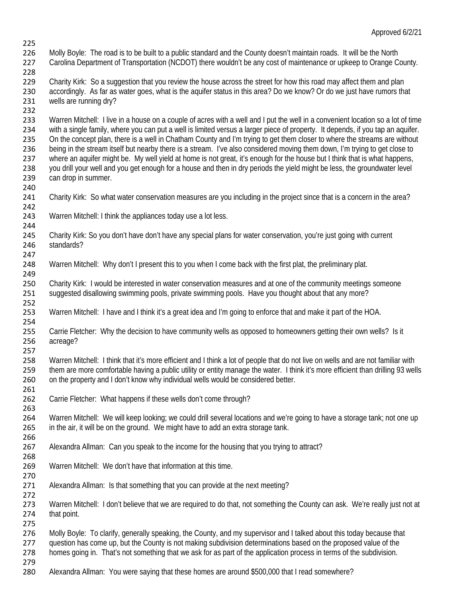- Approved 6/2/21
- 226 Molly Boyle: The road is to be built to a public standard and the County doesn't maintain roads. It will be the North<br>227 Carolina Department of Transportation (NCDOT) there wouldn't be any cost of maintenance or upkee Carolina Department of Transportation (NCDOT) there wouldn't be any cost of maintenance or upkeep to Orange County.
- 

- 229 Charity Kirk: So a suggestion that you review the house across the street for how this road may affect them and plan accordingly. As far as water goes, what is the aquifer status in this area? Do we know? Or do we just have rumors that wells are running dry?
- 232<br>233 Warren Mitchell: I live in a house on a couple of acres with a well and I put the well in a convenient location so a lot of time with a single family, where you can put a well is limited versus a larger piece of property. It depends, if you tap an aquifer. On the concept plan, there is a well in Chatham County and I'm trying to get them closer to where the streams are without being in the stream itself but nearby there is a stream. I've also considered moving them down, I'm trying to get close to 237 where an aquifer might be. My well yield at home is not great, it's enough for the house but I think that is what happens,<br>238 you drill your well and you get enough for a house and then in dry periods the yield might 238 you drill your well and you get enough for a house and then in dry periods the yield might be less, the groundwater level 239 can drop in summer. can drop in summer.
- Charity Kirk: So what water conservation measures are you including in the project since that is a concern in the area?
- Warren Mitchell: I think the appliances today use a lot less.
- Charity Kirk: So you don't have don't have any special plans for water conservation, you're just going with current standards?
- 248 Warren Mitchell: Why don't I present this to you when I come back with the first plat, the preliminary plat.
- 250 Charity Kirk: I would be interested in water conservation measures and at one of the community meetings someone<br>251 Suggested disallowing swimming pools, private swimming pools. Have you thought about that any more? suggested disallowing swimming pools, private swimming pools. Have you thought about that any more?
- Warren Mitchell: I have and I think it's a great idea and I'm going to enforce that and make it part of the HOA.
- 255 Carrie Fletcher: Why the decision to have community wells as opposed to homeowners getting their own wells? Is it<br>256 acreage? acreage?
- Warren Mitchell: I think that it's more efficient and I think a lot of people that do not live on wells and are not familiar with them are more comfortable having a public utility or entity manage the water. I think it's more efficient than drilling 93 wells on the property and I don't know why individual wells would be considered better.
- 261<br>262 Carrie Fletcher: What happens if these wells don't come through?
- Warren Mitchell: We will keep looking; we could drill several locations and we're going to have a storage tank; not one up in the air, it will be on the ground. We might have to add an extra storage tank.
- Alexandra Allman: Can you speak to the income for the housing that you trying to attract?
- Warren Mitchell: We don't have that information at this time.
- Alexandra Allman: Is that something that you can provide at the next meeting?
- 272<br>273 Warren Mitchell: I don't believe that we are required to do that, not something the County can ask. We're really just not at that point.
- 
- Molly Boyle: To clarify, generally speaking, the County, and my supervisor and I talked about this today because that
- question has come up, but the County is not making subdivision determinations based on the proposed value of the
- homes going in. That's not something that we ask for as part of the application process in terms of the subdivision.
- Alexandra Allman: You were saying that these homes are around \$500,000 that I read somewhere?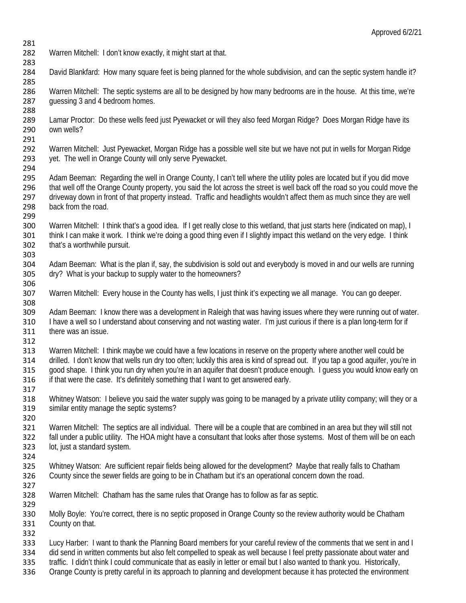- Warren Mitchell: I don't know exactly, it might start at that.
- David Blankfard: How many square feet is being planned for the whole subdivision, and can the septic system handle it?

 Warren Mitchell: The septic systems are all to be designed by how many bedrooms are in the house. At this time, we're guessing 3 and 4 bedroom homes.

- 288<br>289 Lamar Proctor: Do these wells feed just Pyewacket or will they also feed Morgan Ridge? Does Morgan Ridge have its 290 own wells?
- Warren Mitchell: Just Pyewacket, Morgan Ridge has a possible well site but we have not put in wells for Morgan Ridge yet. The well in Orange County will only serve Pyewacket.
- 294<br>295 Adam Beeman: Regarding the well in Orange County, I can't tell where the utility poles are located but if you did move that well off the Orange County property, you said the lot across the street is well back off the road so you could move the driveway down in front of that property instead. Traffic and headlights wouldn't affect them as much since they are well 298 back from the road.
- 299<br>300 Warren Mitchell: I think that's a good idea. If I get really close to this wetland, that just starts here (indicated on map), I think I can make it work. I think we're doing a good thing even if I slightly impact this wetland on the very edge. I think that's a worthwhile pursuit.
- Adam Beeman: What is the plan if, say, the subdivision is sold out and everybody is moved in and our wells are running dry? What is your backup to supply water to the homeowners?
- 306<br>307 Warren Mitchell: Every house in the County has wells, I just think it's expecting we all manage. You can go deeper.
- Adam Beeman: I know there was a development in Raleigh that was having issues where they were running out of water. I have a well so I understand about conserving and not wasting water. I'm just curious if there is a plan long-term for if there was an issue.
- 

- Warren Mitchell: I think maybe we could have a few locations in reserve on the property where another well could be drilled. I don't know that wells run dry too often; luckily this area is kind of spread out. If you tap a good aquifer, you're in good shape. I think you run dry when you're in an aquifer that doesn't produce enough. I guess you would know early on 316 if that were the case. It's definitely something that I want to get answered early.
- 
- 317<br>318 Whitney Watson: I believe you said the water supply was going to be managed by a private utility company; will they or a similar entity manage the septic systems?
- 320<br>321 Warren Mitchell: The septics are all individual. There will be a couple that are combined in an area but they will still not fall under a public utility. The HOA might have a consultant that looks after those systems. Most of them will be on each lot, just a standard system.
- Whitney Watson: Are sufficient repair fields being allowed for the development? Maybe that really falls to Chatham County since the sewer fields are going to be in Chatham but it's an operational concern down the road.
- 
- Warren Mitchell: Chatham has the same rules that Orange has to follow as far as septic.
- Molly Boyle: You're correct, there is no septic proposed in Orange County so the review authority would be Chatham County on that.
- 

333 Lucy Harber: I want to thank the Planning Board members for your careful review of the comments that we sent in and I<br>334 did send in written comments but also felt compelled to speak as well because I feel pretty pass

- 334 did send in written comments but also felt compelled to speak as well because I feel pretty passionate about water and<br>335 traffic. I didn't think I could communicate that as easily in letter or email but I also wanted traffic. I didn't think I could communicate that as easily in letter or email but I also wanted to thank you. Historically,
- Orange County is pretty careful in its approach to planning and development because it has protected the environment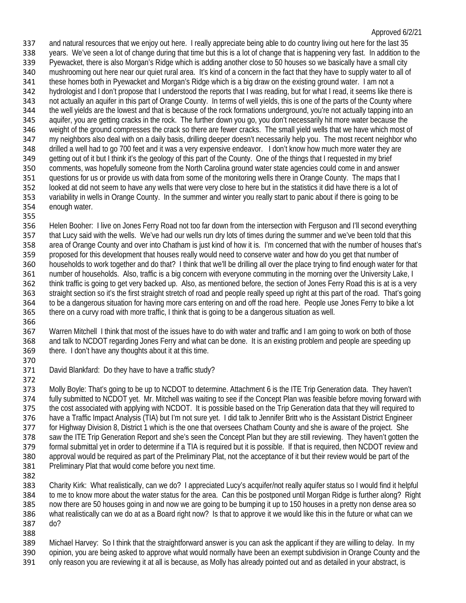and natural resources that we enjoy out here. I really appreciate being able to do country living out here for the last 35 338 years. We've seen a lot of change during that time but this is a lot of change that is happening very fast. In addition to the 339 Pyewacket, there is also Morgan's Ridge which is adding another close to 50 houses so w Pyewacket, there is also Morgan's Ridge which is adding another close to 50 houses so we basically have a small city mushrooming out here near our quiet rural area. It's kind of a concern in the fact that they have to supply water to all of these homes both in Pyewacket and Morgan's Ridge which is a big draw on the existing ground water. I am not a hydrologist and I don't propose that I understood the reports that I was reading, but for what I read, it seems like there is not actually an aquifer in this part of Orange County. In terms of well yields, this is one of the parts of the County where the well yields are the lowest and that is because of the rock formations underground, you're not actually tapping into an aquifer, you are getting cracks in the rock. The further down you go, you don't necessarily hit more water because the weight of the ground compresses the crack so there are fewer cracks. The small yield wells that we have which most of my neighbors also deal with on a daily basis, drilling deeper doesn't necessarily help you. The most recent neighbor who drilled a well had to go 700 feet and it was a very expensive endeavor. I don't know how much more water they are 349 getting out of it but I think it's the geology of this part of the County. One of the things that I requested in my brief 350 comments, was hopefully someone from the North Carolina ground water state agencies could co comments, was hopefully someone from the North Carolina ground water state agencies could come in and answer questions for us or provide us with data from some of the monitoring wells there in Orange County. The maps that I looked at did not seem to have any wells that were very close to here but in the statistics it did have there is a lot of variability in wells in Orange County. In the summer and winter you really start to panic about if there is going to be enough water.

355<br>356 Helen Booher: I live on Jones Ferry Road not too far down from the intersection with Ferguson and I'll second everything that Lucy said with the wells. We've had our wells run dry lots of times during the summer and we've been told that this area of Orange County and over into Chatham is just kind of how it is. I'm concerned that with the number of houses that's proposed for this development that houses really would need to conserve water and how do you get that number of households to work together and do that? I think that we'll be drilling all over the place trying to find enough water for that number of households. Also, traffic is a big concern with everyone commuting in the morning over the University Lake, I 362 think traffic is going to get very backed up. Also, as mentioned before, the section of Jones Ferry Road this is at is a very<br>363 straight section so it's the first straight stretch of road and people really speed up r straight section so it's the first straight stretch of road and people really speed up right at this part of the road. That's going to be a dangerous situation for having more cars entering on and off the road here. People use Jones Ferry to bike a lot there on a curvy road with more traffic, I think that is going to be a dangerous situation as well.

 Warren Mitchell I think that most of the issues have to do with water and traffic and I am going to work on both of those and talk to NCDOT regarding Jones Ferry and what can be done. It is an existing problem and people are speeding up there. I don't have any thoughts about it at this time. 

David Blankfard: Do they have to have a traffic study?

373 Molly Boyle: That's going to be up to NCDOT to determine. Attachment 6 is the ITE Trip Generation data. They haven't<br>374 fully submitted to NCDOT yet. Mr. Mitchell was waiting to see if the Concept Plan was feasible be fully submitted to NCDOT yet. Mr. Mitchell was waiting to see if the Concept Plan was feasible before moving forward with the cost associated with applying with NCDOT. It is possible based on the Trip Generation data that they will required to have a Traffic Impact Analysis (TIA) but I'm not sure yet. I did talk to Jennifer Britt who is the Assistant District Engineer for Highway Division 8, District 1 which is the one that oversees Chatham County and she is aware of the project. She saw the ITE Trip Generation Report and she's seen the Concept Plan but they are still reviewing. They haven't gotten the formal submittal yet in order to determine if a TIA is required but it is possible. If that is required, then NCDOT review and approval would be required as part of the Preliminary Plat, not the acceptance of it but their review would be part of the Preliminary Plat that would come before you next time. 

 Charity Kirk: What realistically, can we do? I appreciated Lucy's acquifer/not really aquifer status so I would find it helpful to me to know more about the water status for the area. Can this be postponed until Morgan Ridge is further along? Right now there are 50 houses going in and now we are going to be bumping it up to 150 houses in a pretty non dense area so what realistically can we do at as a Board right now? Is that to approve it we would like this in the future or what can we do? 

 Michael Harvey: So I think that the straightforward answer is you can ask the applicant if they are willing to delay. In my 390 opinion, you are being asked to approve what would normally have been an exempt subdivision in Orange County and the<br>391 only reason you are reviewing it at all is because, as Molly has already pointed out and as detai only reason you are reviewing it at all is because, as Molly has already pointed out and as detailed in your abstract, is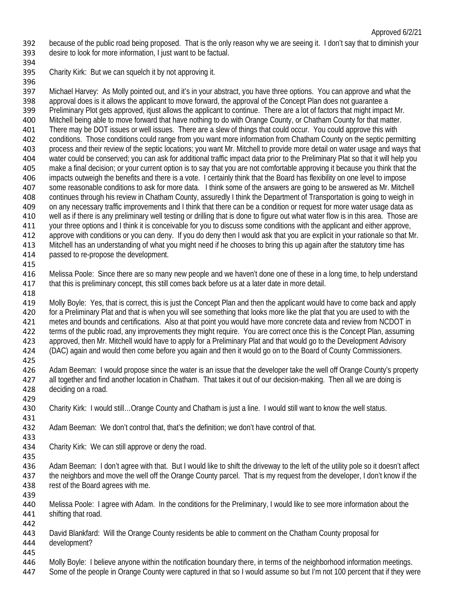because of the public road being proposed. That is the only reason why we are seeing it. I don't say that to diminish your desire to look for more information, I just want to be factual.

- 
- Charity Kirk: But we can squelch it by not approving it.

 Michael Harvey: As Molly pointed out, and it's in your abstract, you have three options. You can approve and what the approval does is it allows the applicant to move forward, the approval of the Concept Plan does not guarantee a 399 Preliminary Plot gets approved, itjust allows the applicant to continue. There are a lot of factors that might impact Mr.<br>400 Mitchell being able to move forward that have nothing to do with Orange County. or Chatham C Mitchell being able to move forward that have nothing to do with Orange County, or Chatham County for that matter. There may be DOT issues or well issues. There are a slew of things that could occur. You could approve this with conditions. Those conditions could range from you want more information from Chatham County on the septic permitting process and their review of the septic locations; you want Mr. Mitchell to provide more detail on water usage and ways that water could be conserved; you can ask for additional traffic impact data prior to the Preliminary Plat so that it will help you<br>405 make a final decision: or your current option is to say that you are not comfortable appro make a final decision; or your current option is to say that you are not comfortable approving it because you think that the impacts outweigh the benefits and there is a vote. I certainly think that the Board has flexibility on one level to impose some reasonable conditions to ask for more data. I think some of the answers are going to be answered as Mr. Mitchell continues through his review in Chatham County, assuredly I think the Department of Transportation is going to weigh in on any necessary traffic improvements and I think that there can be a condition or request for more water usage data as 410 well as if there is any preliminary well testing or drilling that is done to figure out what water flow is in this area. Those are<br>411 vour three options and I think it is conceivable for you to discuss some conditions your three options and I think it is conceivable for you to discuss some conditions with the applicant and either approve, approve with conditions or you can deny. If you do deny then I would ask that you are explicit in your rationale so that Mr. Mitchell has an understanding of what you might need if he chooses to bring this up again after the statutory time has passed to re-propose the development.

 Melissa Poole: Since there are so many new people and we haven't done one of these in a long time, to help understand that this is preliminary concept, this still comes back before us at a later date in more detail. 

 Molly Boyle: Yes, that is correct, this is just the Concept Plan and then the applicant would have to come back and apply for a Preliminary Plat and that is when you will see something that looks more like the plat that you are used to with the metes and bounds and certifications. Also at that point you would have more concrete data and review from NCDOT in 422 terms of the public road, any improvements they might require. You are correct once this is the Concept Plan, assuming<br>423 approved, then Mr. Mitchell would have to apply for a Preliminary Plat and that would go to the approved, then Mr. Mitchell would have to apply for a Preliminary Plat and that would go to the Development Advisory (DAC) again and would then come before you again and then it would go on to the Board of County Commissioners.

 Adam Beeman: I would propose since the water is an issue that the developer take the well off Orange County's property all together and find another location in Chatham. That takes it out of our decision-making. Then all we are doing is deciding on a road.

- Charity Kirk: I would still…Orange County and Chatham is just a line. I would still want to know the well status.
- Adam Beeman: We don't control that, that's the definition; we don't have control of that.
- Charity Kirk: We can still approve or deny the road.

 Adam Beeman: I don't agree with that. But I would like to shift the driveway to the left of the utility pole so it doesn't affect the neighbors and move the well off the Orange County parcel. That is my request from the developer, I don't know if the rest of the Board agrees with me.

- Melissa Poole: I agree with Adam. In the conditions for the Preliminary, I would like to see more information about the shifting that road.
- 

David Blankfard: Will the Orange County residents be able to comment on the Chatham County proposal for

development?

445<br>446 Molly Boyle: I believe anyone within the notification boundary there, in terms of the neighborhood information meetings.

Some of the people in Orange County were captured in that so I would assume so but I'm not 100 percent that if they were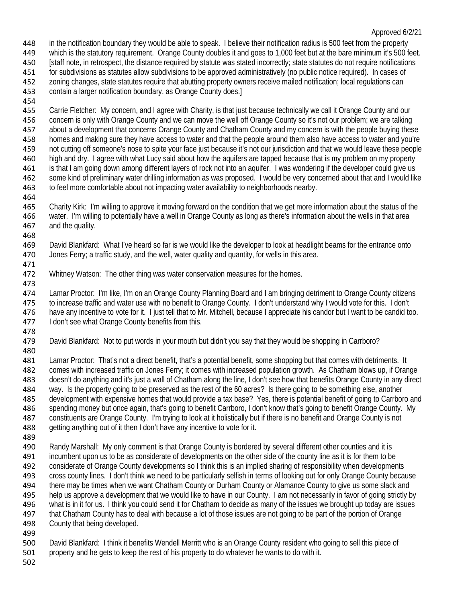in the notification boundary they would be able to speak. I believe their notification radius is 500 feet from the property

which is the statutory requirement. Orange County doubles it and goes to 1,000 feet but at the bare minimum it's 500 feet.

 [staff note, in retrospect, the distance required by statute was stated incorrectly; state statutes do not require notifications for subdivisions as statutes allow subdivisions to be approved administratively (no public notice required). In cases of

zoning changes, state statutes require that abutting property owners receive mailed notification; local regulations can

- contain a larger notification boundary, as Orange County does.]
- 

 Carrie Fletcher: My concern, and I agree with Charity, is that just because technically we call it Orange County and our concern is only with Orange County and we can move the well off Orange County so it's not our problem; we are talking 457 about a development that concerns Orange County and Chatham County and my concern is with the people buying these homes and making sure they have access to water and that the people around them also have access to water and you're not cutting off someone's nose to spite your face just because it's not our jurisdiction and that we would leave these people 460 high and dry. I agree with what Lucy said about how the aquifers are tapped because that is my problem on my property<br>461 is that I am going down among different layers of rock not into an aquifer. I was wondering if t is that I am going down among different layers of rock not into an aquifer. I was wondering if the developer could give us some kind of preliminary water drilling information as was proposed. I would be very concerned about that and I would like to feel more comfortable about not impacting water availability to neighborhoods nearby.

 Charity Kirk: I'm willing to approve it moving forward on the condition that we get more information about the status of the water. I'm willing to potentially have a well in Orange County as long as there's information about the wells in that area and the quality.

 David Blankfard: What I've heard so far is we would like the developer to look at headlight beams for the entrance onto Jones Ferry; a traffic study, and the well, water quality and quantity, for wells in this area.

Whitney Watson: The other thing was water conservation measures for the homes.

 Lamar Proctor: I'm like, I'm on an Orange County Planning Board and I am bringing detriment to Orange County citizens to increase traffic and water use with no benefit to Orange County. I don't understand why I would vote for this. I don't have any incentive to vote for it. I just tell that to Mr. Mitchell, because I appreciate his candor but I want to be candid too. 477 I don't see what Orange County benefits from this.

478<br>479

David Blankfard: Not to put words in your mouth but didn't you say that they would be shopping in Carrboro?

 Lamar Proctor: That's not a direct benefit, that's a potential benefit, some shopping but that comes with detriments. It comes with increased traffic on Jones Ferry; it comes with increased population growth. As Chatham blows up, if Orange doesn't do anything and it's just a wall of Chatham along the line, I don't see how that benefits Orange County in any direct way. Is the property going to be preserved as the rest of the 60 acres? Is there going to be something else, another development with expensive homes that would provide a tax base? Yes, there is potential benefit of going to Carrboro and spending money but once again, that's going to benefit Carrboro, I don't know that's going to benefit Orange County. My constituents are Orange County. I'm trying to look at it holistically but if there is no benefit and Orange County is not 488 getting anything out of it then I don't have any incentive to vote for it.

 Randy Marshall: My only comment is that Orange County is bordered by several different other counties and it is incumbent upon us to be as considerate of developments on the other side of the county line as it is for them to be considerate of Orange County developments so I think this is an implied sharing of responsibility when developments cross county lines. I don't think we need to be particularly selfish in terms of looking out for only Orange County because

 there may be times when we want Chatham County or Durham County or Alamance County to give us some slack and help us approve a development that we would like to have in our County. I am not necessarily in favor of going strictly by what is in it for us. I think you could send it for Chatham to decide as many of the issues we brought up today are issues that Chatham County has to deal with because a lot of those issues are not going to be part of the portion of Orange

- County that being developed.
- 

David Blankfard: I think it benefits Wendell Merritt who is an Orange County resident who going to sell this piece of

property and he gets to keep the rest of his property to do whatever he wants to do with it.